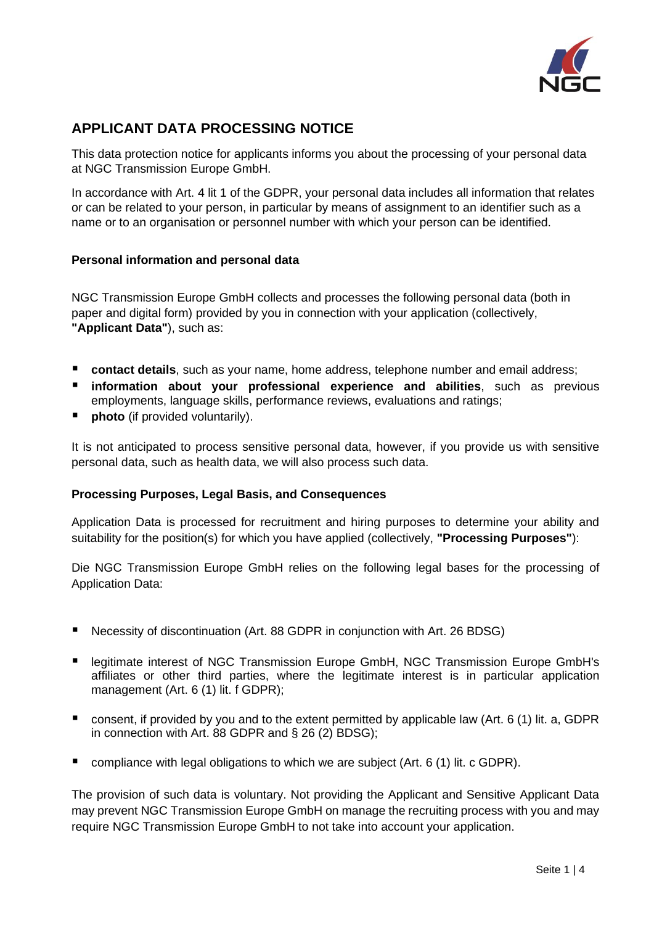

# **APPLICANT DATA PROCESSING NOTICE**

This data protection notice for applicants informs you about the processing of your personal data at NGC Transmission Europe GmbH.

In accordance with Art. 4 lit 1 of the GDPR, your personal data includes all information that relates or can be related to your person, in particular by means of assignment to an identifier such as a name or to an organisation or personnel number with which your person can be identified.

## **Personal information and personal data**

NGC Transmission Europe GmbH collects and processes the following personal data (both in paper and digital form) provided by you in connection with your application (collectively, **"Applicant Data"**), such as:

- **contact details**, such as your name, home address, telephone number and email address;
- **information about your professional experience and abilities**, such as previous employments, language skills, performance reviews, evaluations and ratings;
- **photo** (if provided voluntarily).

It is not anticipated to process sensitive personal data, however, if you provide us with sensitive personal data, such as health data, we will also process such data.

#### **Processing Purposes, Legal Basis, and Consequences**

Application Data is processed for recruitment and hiring purposes to determine your ability and suitability for the position(s) for which you have applied (collectively, **"Processing Purposes"**):

Die NGC Transmission Europe GmbH relies on the following legal bases for the processing of Application Data:

- Necessity of discontinuation (Art. 88 GDPR in conjunction with Art. 26 BDSG)
- legitimate interest of NGC Transmission Europe GmbH, NGC Transmission Europe GmbH's affiliates or other third parties, where the legitimate interest is in particular application management (Art. 6 (1) lit. f GDPR);
- consent, if provided by you and to the extent permitted by applicable law (Art. 6 (1) lit. a, GDPR in connection with Art. 88 GDPR and § 26 (2) BDSG);
- compliance with legal obligations to which we are subject (Art. 6 (1) lit. c GDPR).

The provision of such data is voluntary. Not providing the Applicant and Sensitive Applicant Data may prevent NGC Transmission Europe GmbH on manage the recruiting process with you and may require NGC Transmission Europe GmbH to not take into account your application.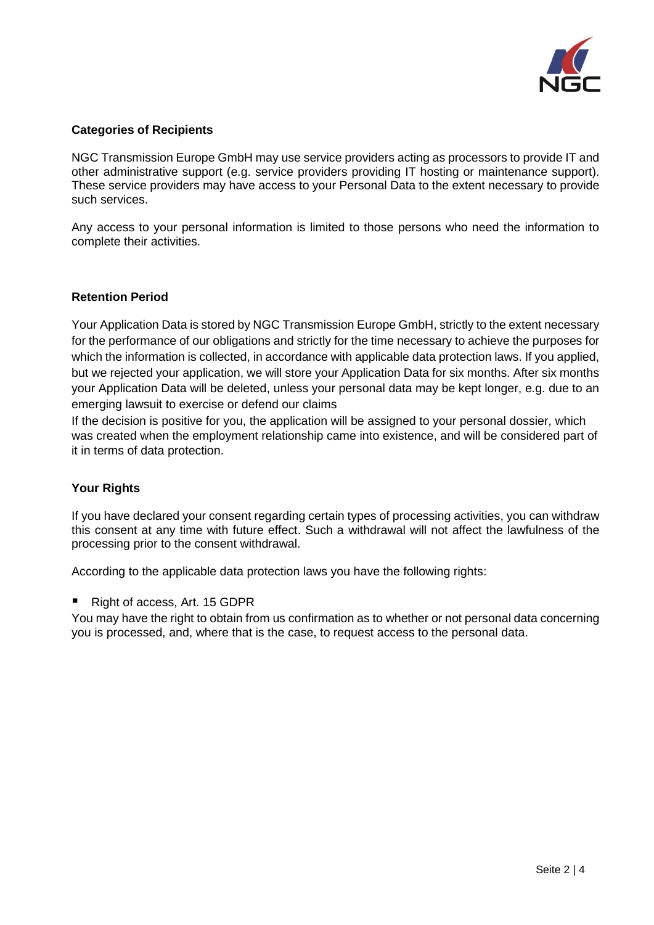

#### **Categories of Recipients**

NGC Transmission Europe GmbH may use service providers acting as processors to provide IT and other administrative support (e.g. service providers providing IT hosting or maintenance support). These service providers may have access to your Personal Data to the extent necessary to provide such services.

Any access to your personal information is limited to those persons who need the information to complete their activities.

#### **Retention Period**

Your Application Data is stored by NGC Transmission Europe GmbH, strictly to the extent necessary for the performance of our obligations and strictly for the time necessary to achieve the purposes for which the information is collected, in accordance with applicable data protection laws. If you applied, but we rejected your application, we will store your Application Data for six months. After six months your Application Data will be deleted, unless your personal data may be kept longer, e.g. due to an emerging lawsuit to exercise or defend our claims

If the decision is positive for you, the application will be assigned to your personal dossier, which was created when the employment relationship came into existence, and will be considered part of it in terms of data protection.

#### **Your Rights**

If you have declared your consent regarding certain types of processing activities, you can withdraw this consent at any time with future effect. Such a withdrawal will not affect the lawfulness of the processing prior to the consent withdrawal.

According to the applicable data protection laws you have the following rights:

■ Right of access, Art. 15 GDPR

You may have the right to obtain from us confirmation as to whether or not personal data concerning you is processed, and, where that is the case, to request access to the personal data.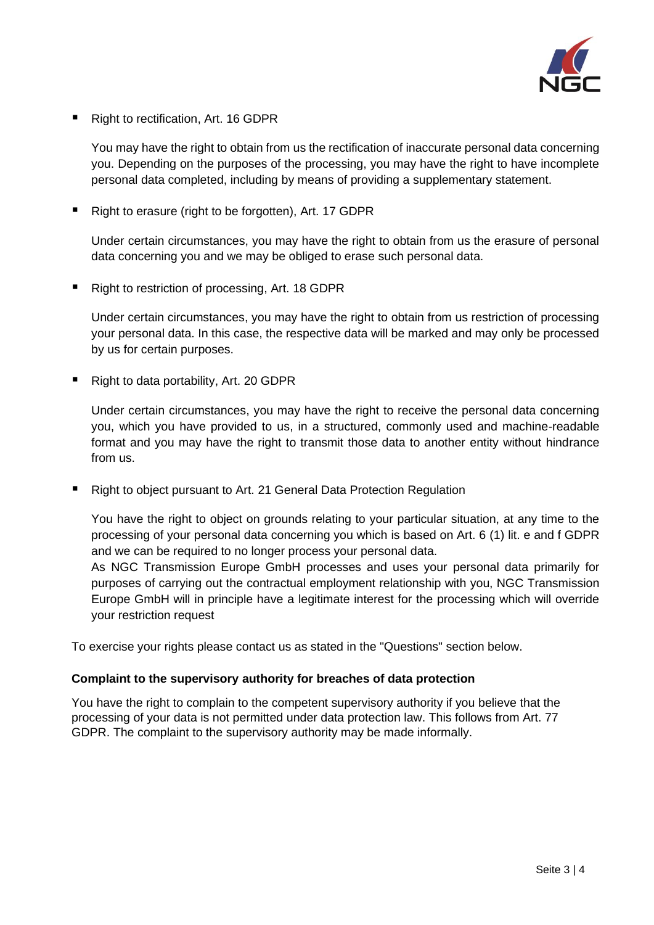

■ Right to rectification, Art. 16 GDPR

You may have the right to obtain from us the rectification of inaccurate personal data concerning you. Depending on the purposes of the processing, you may have the right to have incomplete personal data completed, including by means of providing a supplementary statement.

■ Right to erasure (right to be forgotten), Art. 17 GDPR

Under certain circumstances, you may have the right to obtain from us the erasure of personal data concerning you and we may be obliged to erase such personal data.

■ Right to restriction of processing, Art. 18 GDPR

Under certain circumstances, you may have the right to obtain from us restriction of processing your personal data. In this case, the respective data will be marked and may only be processed by us for certain purposes.

■ Right to data portability, Art. 20 GDPR

Under certain circumstances, you may have the right to receive the personal data concerning you, which you have provided to us, in a structured, commonly used and machine-readable format and you may have the right to transmit those data to another entity without hindrance from us.

■ Right to object pursuant to Art. 21 General Data Protection Regulation

You have the right to object on grounds relating to your particular situation, at any time to the processing of your personal data concerning you which is based on Art. 6 (1) lit. e and f GDPR and we can be required to no longer process your personal data.

As NGC Transmission Europe GmbH processes and uses your personal data primarily for purposes of carrying out the contractual employment relationship with you, NGC Transmission Europe GmbH will in principle have a legitimate interest for the processing which will override your restriction request

To exercise your rights please contact us as stated in the "Questions" section below.

#### **Complaint to the supervisory authority for breaches of data protection**

You have the right to complain to the competent supervisory authority if you believe that the processing of your data is not permitted under data protection law. This follows from Art. 77 GDPR. The complaint to the supervisory authority may be made informally.